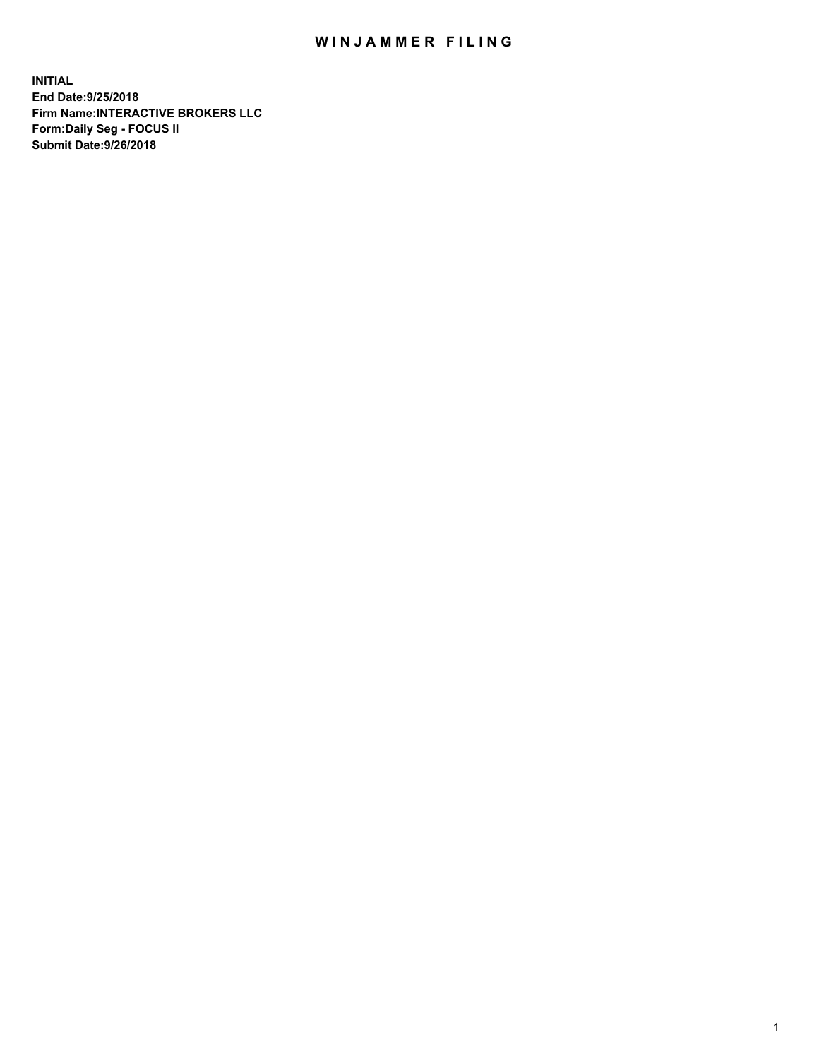## WIN JAMMER FILING

**INITIAL End Date:9/25/2018 Firm Name:INTERACTIVE BROKERS LLC Form:Daily Seg - FOCUS II Submit Date:9/26/2018**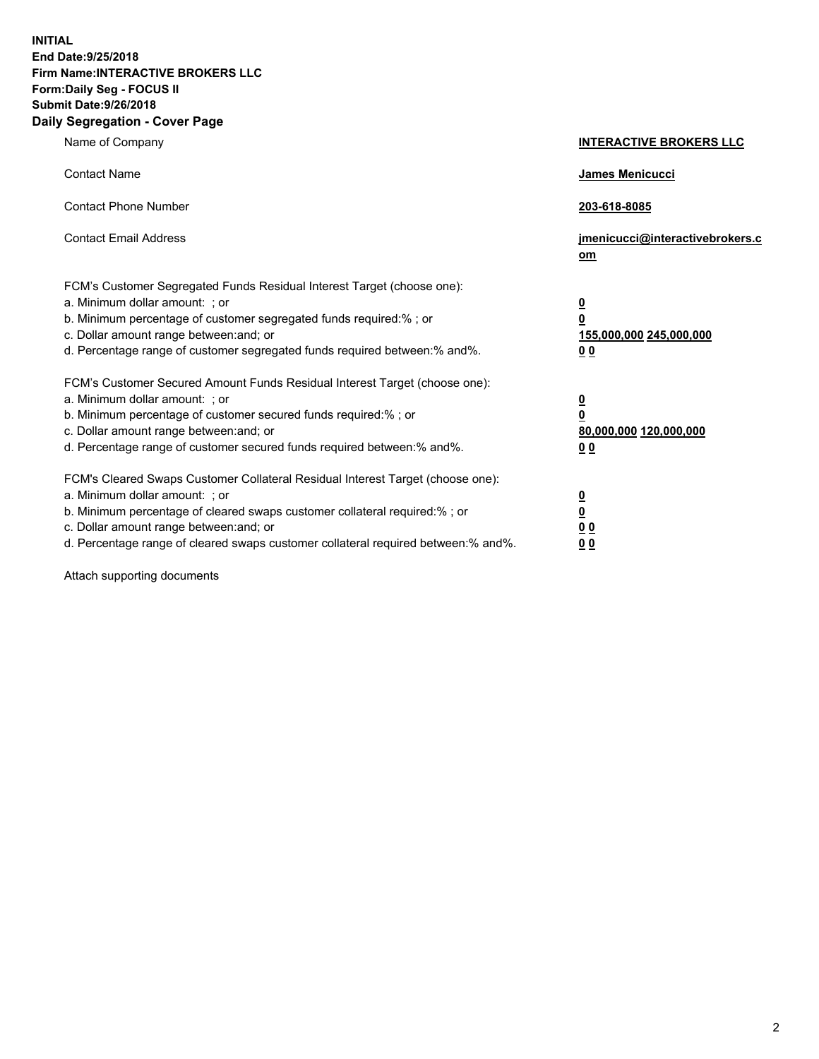**INITIAL End Date:9/25/2018 Firm Name:INTERACTIVE BROKERS LLC Form:Daily Seg - FOCUS II Submit Date:9/26/2018 Daily Segregation - Cover Page**

| Name of Company                                                                                                                                                                                                                                                                                                                | <b>INTERACTIVE BROKERS LLC</b>                                                   |
|--------------------------------------------------------------------------------------------------------------------------------------------------------------------------------------------------------------------------------------------------------------------------------------------------------------------------------|----------------------------------------------------------------------------------|
| <b>Contact Name</b>                                                                                                                                                                                                                                                                                                            | James Menicucci                                                                  |
| <b>Contact Phone Number</b>                                                                                                                                                                                                                                                                                                    | 203-618-8085                                                                     |
| <b>Contact Email Address</b>                                                                                                                                                                                                                                                                                                   | jmenicucci@interactivebrokers.c<br>om                                            |
| FCM's Customer Segregated Funds Residual Interest Target (choose one):<br>a. Minimum dollar amount: ; or<br>b. Minimum percentage of customer segregated funds required:% ; or<br>c. Dollar amount range between: and; or<br>d. Percentage range of customer segregated funds required between:% and%.                         | <u>0</u><br>$\overline{\mathbf{0}}$<br>155,000,000 245,000,000<br>0 <sub>0</sub> |
| FCM's Customer Secured Amount Funds Residual Interest Target (choose one):<br>a. Minimum dollar amount: ; or<br>b. Minimum percentage of customer secured funds required:% ; or<br>c. Dollar amount range between: and; or<br>d. Percentage range of customer secured funds required between:% and%.                           | <u>0</u><br>$\overline{\mathbf{0}}$<br>80,000,000 120,000,000<br>0 <sub>0</sub>  |
| FCM's Cleared Swaps Customer Collateral Residual Interest Target (choose one):<br>a. Minimum dollar amount: ; or<br>b. Minimum percentage of cleared swaps customer collateral required:% ; or<br>c. Dollar amount range between: and; or<br>d. Percentage range of cleared swaps customer collateral required between:% and%. | <u>0</u><br>$\underline{\mathbf{0}}$<br>0 <sub>0</sub><br>0 <sub>0</sub>         |

Attach supporting documents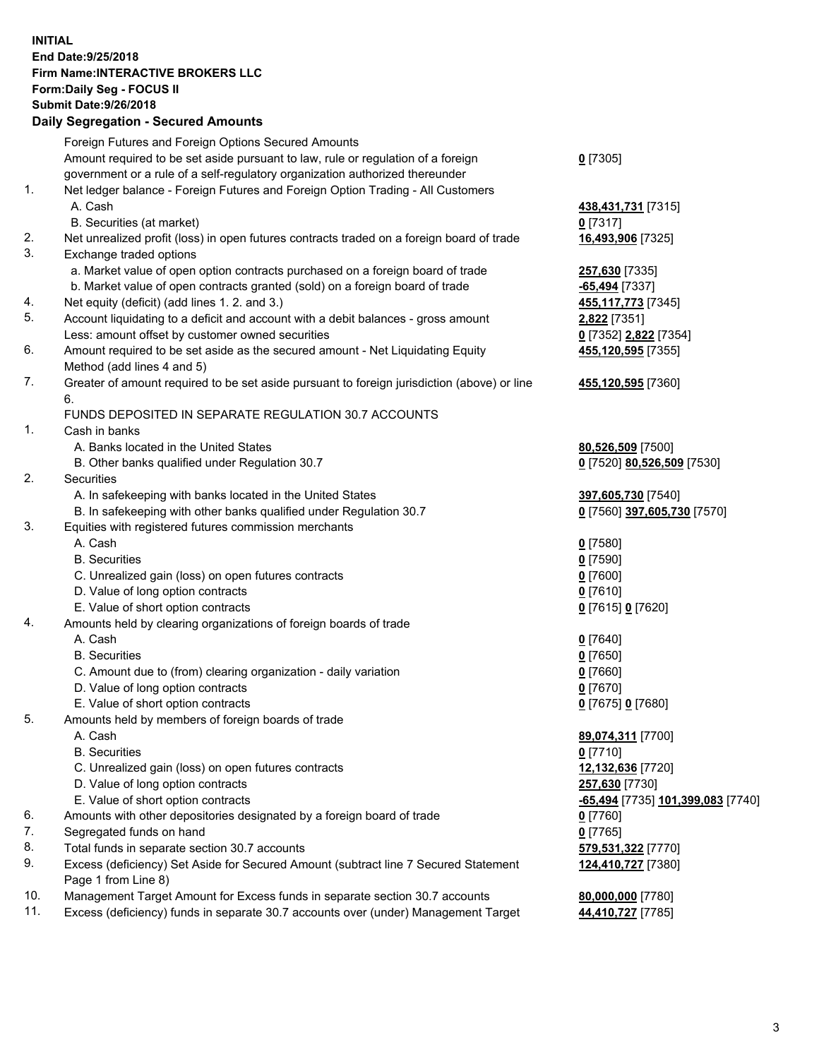## **INITIAL End Date:9/25/2018 Firm Name:INTERACTIVE BROKERS LLC Form:Daily Seg - FOCUS II Submit Date:9/26/2018 Daily Segregation - Secured Amounts**

|     | Daily Jegiegation - Jeculed Aniounts                                                                       |                                   |
|-----|------------------------------------------------------------------------------------------------------------|-----------------------------------|
|     | Foreign Futures and Foreign Options Secured Amounts                                                        |                                   |
|     | Amount required to be set aside pursuant to law, rule or regulation of a foreign                           | $0$ [7305]                        |
|     | government or a rule of a self-regulatory organization authorized thereunder                               |                                   |
| 1.  | Net ledger balance - Foreign Futures and Foreign Option Trading - All Customers                            |                                   |
|     | A. Cash                                                                                                    | 438,431,731 [7315]                |
|     | B. Securities (at market)                                                                                  | $0$ [7317]                        |
| 2.  | Net unrealized profit (loss) in open futures contracts traded on a foreign board of trade                  | 16,493,906 [7325]                 |
| 3.  | Exchange traded options                                                                                    |                                   |
|     | a. Market value of open option contracts purchased on a foreign board of trade                             | 257,630 [7335]                    |
|     | b. Market value of open contracts granted (sold) on a foreign board of trade                               | -65,494 [7337]                    |
| 4.  | Net equity (deficit) (add lines 1. 2. and 3.)                                                              | 455, 117, 773 [7345]              |
| 5.  | Account liquidating to a deficit and account with a debit balances - gross amount                          | 2,822 [7351]                      |
|     | Less: amount offset by customer owned securities                                                           | 0 [7352] 2,822 [7354]             |
| 6.  | Amount required to be set aside as the secured amount - Net Liquidating Equity                             | 455,120,595 [7355]                |
|     | Method (add lines 4 and 5)                                                                                 |                                   |
| 7.  | Greater of amount required to be set aside pursuant to foreign jurisdiction (above) or line                | 455,120,595 [7360]                |
|     | 6.                                                                                                         |                                   |
|     | FUNDS DEPOSITED IN SEPARATE REGULATION 30.7 ACCOUNTS                                                       |                                   |
| 1.  | Cash in banks                                                                                              |                                   |
|     | A. Banks located in the United States                                                                      | 80,526,509 [7500]                 |
|     | B. Other banks qualified under Regulation 30.7                                                             | 0 [7520] 80,526,509 [7530]        |
| 2.  | Securities                                                                                                 |                                   |
|     | A. In safekeeping with banks located in the United States                                                  | 397,605,730 [7540]                |
|     | B. In safekeeping with other banks qualified under Regulation 30.7                                         | 0 [7560] 397,605,730 [7570]       |
| 3.  | Equities with registered futures commission merchants                                                      |                                   |
|     | A. Cash                                                                                                    | $0$ [7580]                        |
|     | <b>B.</b> Securities                                                                                       | $0$ [7590]                        |
|     | C. Unrealized gain (loss) on open futures contracts                                                        | $0$ [7600]                        |
|     | D. Value of long option contracts                                                                          | $0$ [7610]                        |
|     | E. Value of short option contracts                                                                         | 0 [7615] 0 [7620]                 |
| 4.  | Amounts held by clearing organizations of foreign boards of trade                                          |                                   |
|     | A. Cash                                                                                                    | $0$ [7640]                        |
|     | <b>B.</b> Securities                                                                                       | $0$ [7650]                        |
|     | C. Amount due to (from) clearing organization - daily variation                                            | $0$ [7660]                        |
|     | D. Value of long option contracts                                                                          | $0$ [7670]                        |
|     | E. Value of short option contracts                                                                         | 0 [7675] 0 [7680]                 |
| 5.  | Amounts held by members of foreign boards of trade                                                         |                                   |
|     | A. Cash                                                                                                    | 89,074,311 [7700]                 |
|     | <b>B.</b> Securities                                                                                       | $0$ [7710]                        |
|     | C. Unrealized gain (loss) on open futures contracts                                                        | 12,132,636 [7720]                 |
|     | D. Value of long option contracts                                                                          | 257,630 [7730]                    |
|     | E. Value of short option contracts                                                                         | -65,494 [7735] 101,399,083 [7740] |
| 6.  | Amounts with other depositories designated by a foreign board of trade                                     | 0 [7760]                          |
| 7.  | Segregated funds on hand                                                                                   | $0$ [7765]                        |
| 8.  | Total funds in separate section 30.7 accounts                                                              | 579,531,322 [7770]                |
| 9.  | Excess (deficiency) Set Aside for Secured Amount (subtract line 7 Secured Statement<br>Page 1 from Line 8) | 124,410,727 [7380]                |
| 10. | Management Target Amount for Excess funds in separate section 30.7 accounts                                | 80,000,000 [7780]                 |
| 11. | Excess (deficiency) funds in separate 30.7 accounts over (under) Management Target                         | 44,410,727 [7785]                 |
|     |                                                                                                            |                                   |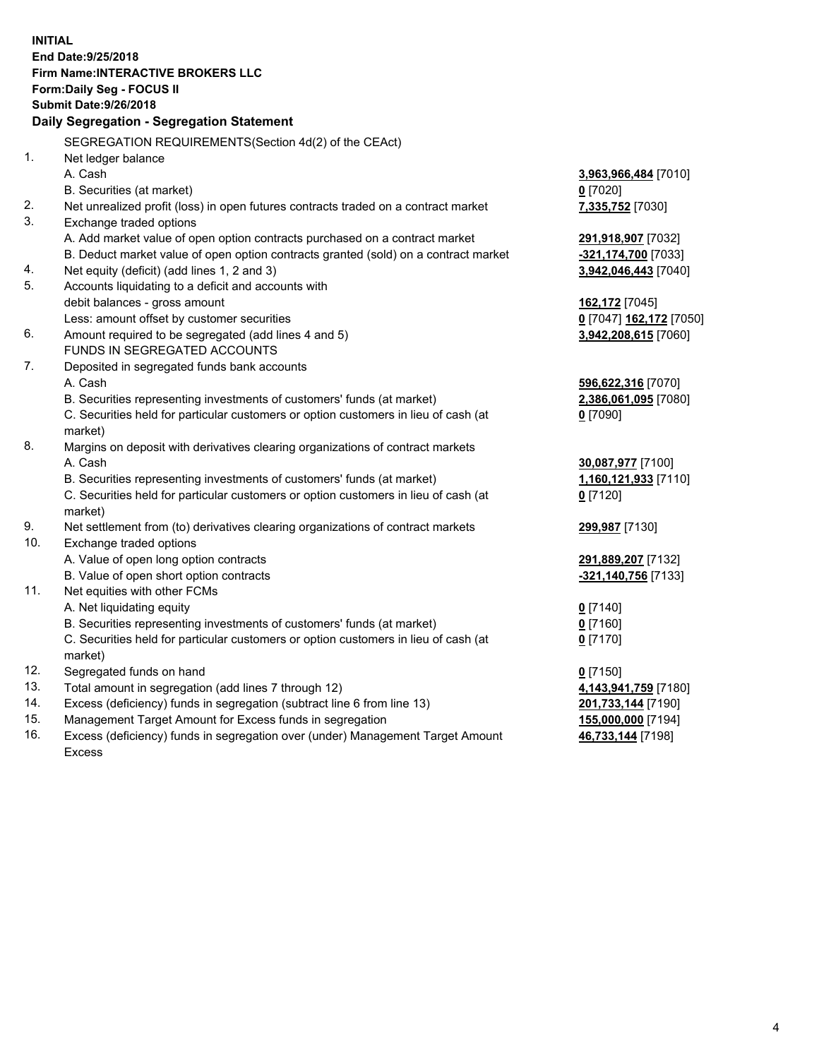**INITIAL End Date:9/25/2018 Firm Name:INTERACTIVE BROKERS LLC Form:Daily Seg - FOCUS II Submit Date:9/26/2018 Daily Segregation - Segregation Statement** SEGREGATION REQUIREMENTS(Section 4d(2) of the CEAct) 1. Net ledger balance A. Cash **3,963,966,484** [7010] B. Securities (at market) **0** [7020] 2. Net unrealized profit (loss) in open futures contracts traded on a contract market **7,335,752** [7030] 3. Exchange traded options A. Add market value of open option contracts purchased on a contract market **291,918,907** [7032] B. Deduct market value of open option contracts granted (sold) on a contract market **-321,174,700** [7033] 4. Net equity (deficit) (add lines 1, 2 and 3) **3,942,046,443** [7040] 5. Accounts liquidating to a deficit and accounts with debit balances - gross amount **162,172** [7045] Less: amount offset by customer securities **0** [7047] **162,172** [7050] 6. Amount required to be segregated (add lines 4 and 5) **3,942,208,615** [7060] FUNDS IN SEGREGATED ACCOUNTS 7. Deposited in segregated funds bank accounts A. Cash **596,622,316** [7070] B. Securities representing investments of customers' funds (at market) **2,386,061,095** [7080] C. Securities held for particular customers or option customers in lieu of cash (at market) **0** [7090] 8. Margins on deposit with derivatives clearing organizations of contract markets A. Cash **30,087,977** [7100] B. Securities representing investments of customers' funds (at market) **1,160,121,933** [7110] C. Securities held for particular customers or option customers in lieu of cash (at market) **0** [7120] 9. Net settlement from (to) derivatives clearing organizations of contract markets **299,987** [7130] 10. Exchange traded options A. Value of open long option contracts **291,889,207** [7132] B. Value of open short option contracts **-321,140,756** [7133] 11. Net equities with other FCMs A. Net liquidating equity **0** [7140] B. Securities representing investments of customers' funds (at market) **0** [7160] C. Securities held for particular customers or option customers in lieu of cash (at market) **0** [7170] 12. Segregated funds on hand **0** [7150] 13. Total amount in segregation (add lines 7 through 12) **4,143,941,759** [7180] 14. Excess (deficiency) funds in segregation (subtract line 6 from line 13) **201,733,144** [7190] 15. Management Target Amount for Excess funds in segregation **155,000,000** [7194] **46,733,144** [7198]

16. Excess (deficiency) funds in segregation over (under) Management Target Amount Excess